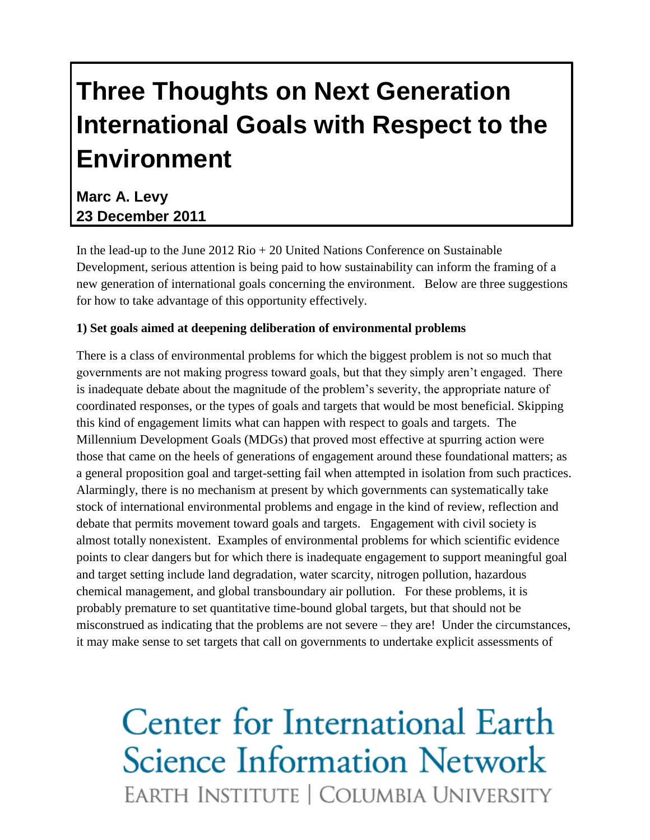## **Three Thoughts on Next Generation International Goals with Respect to the Environment**

### **Marc A. Levy 23 December 2011**

In the lead-up to the June  $2012 \text{ Rio} + 20 \text{ United Nations Conference on Sustainable}$ Development, serious attention is being paid to how sustainability can inform the framing of a new generation of international goals concerning the environment. Below are three suggestions for how to take advantage of this opportunity effectively.

### **1) Set goals aimed at deepening deliberation of environmental problems**

There is a class of environmental problems for which the biggest problem is not so much that governments are not making progress toward goals, but that they simply aren't engaged. There is inadequate debate about the magnitude of the problem's severity, the appropriate nature of coordinated responses, or the types of goals and targets that would be most beneficial. Skipping this kind of engagement limits what can happen with respect to goals and targets. The Millennium Development Goals (MDGs) that proved most effective at spurring action were those that came on the heels of generations of engagement around these foundational matters; as a general proposition goal and target-setting fail when attempted in isolation from such practices. Alarmingly, there is no mechanism at present by which governments can systematically take stock of international environmental problems and engage in the kind of review, reflection and debate that permits movement toward goals and targets. Engagement with civil society is almost totally nonexistent. Examples of environmental problems for which scientific evidence points to clear dangers but for which there is inadequate engagement to support meaningful goal and target setting include land degradation, water scarcity, nitrogen pollution, hazardous chemical management, and global transboundary air pollution. For these problems, it is probably premature to set quantitative time-bound global targets, but that should not be misconstrued as indicating that the problems are not severe – they are! Under the circumstances, it may make sense to set targets that call on governments to undertake explicit assessments of

# Center for International Earth **Science Information Network** EARTH INSTITUTE | COLUMBIA UNIVERSITY